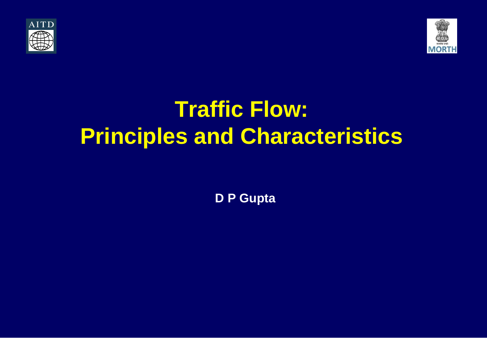



# **Traffic Flow: Principles and Characteristics**

**D P Gupta**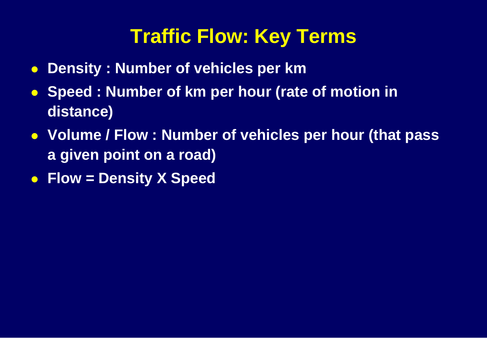## **Traffic Flow: Key Terms**

- **Density : Number of vehicles per km**
- **Speed : Number of km per hour (rate of motion in distance)**
- **Volume / Flow : Number of vehicles per hour (that pass a given point on a road)**
- **Flow = Density X Speed**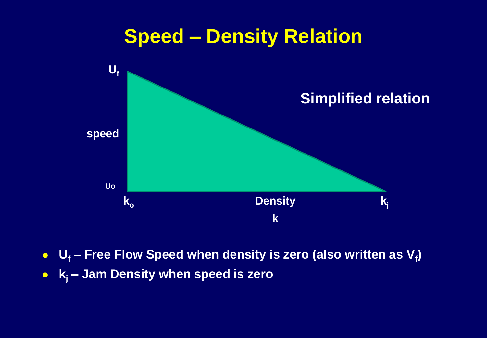

- **U<sup>f</sup> – Free Flow Speed when density is zero (also written as V<sup>f</sup> )**
- **k<sup>j</sup> – Jam Density when speed is zero**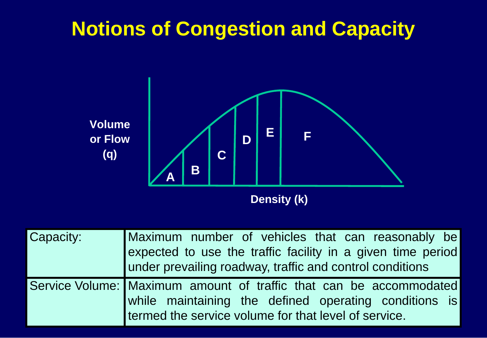## **Notions of Congestion and Capacity**



| <b>Capacity:</b> | Maximum number of vehicles that can reasonably be<br>expected to use the traffic facility in a given time period<br>under prevailing roadway, traffic and control conditions |
|------------------|------------------------------------------------------------------------------------------------------------------------------------------------------------------------------|
|                  | Service Volume: Maximum amount of traffic that can be accommodated                                                                                                           |
|                  | while maintaining the defined operating conditions is<br>termed the service volume for that level of service.                                                                |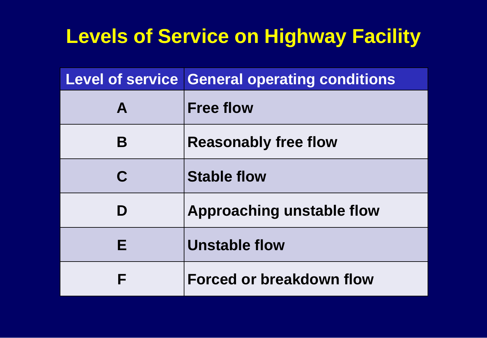## **Levels of Service on Highway Facility**

|   | <b>Level of service General operating conditions</b> |  |
|---|------------------------------------------------------|--|
| A | <b>Free flow</b>                                     |  |
| B | <b>Reasonably free flow</b>                          |  |
| C | <b>Stable flow</b>                                   |  |
| D | Approaching unstable flow                            |  |
| Е | Unstable flow                                        |  |
| F | Forced or breakdown flow                             |  |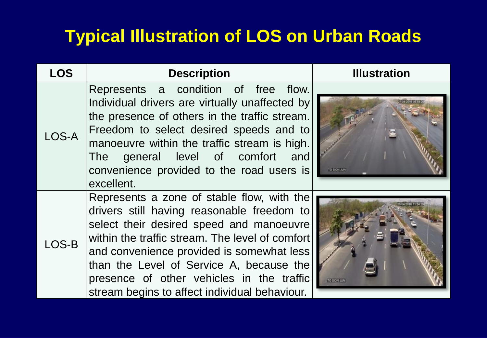### **Typical Illustration of LOS on Urban Roads**

| <b>LOS</b> | <b>Description</b>                                                                                                                                                                                                                                                                                                                                                             | <b>Illustration</b> |
|------------|--------------------------------------------------------------------------------------------------------------------------------------------------------------------------------------------------------------------------------------------------------------------------------------------------------------------------------------------------------------------------------|---------------------|
| LOS-A      | Represents a condition of free flow.<br>Individual drivers are virtually unaffected by<br>the presence of others in the traffic stream.<br>Freedom to select desired speeds and to<br>manoeuvre within the traffic stream is high.<br>The general level of comfort<br>and<br>convenience provided to the road users is<br>excellent.                                           | TO SION JUN         |
| LOS-B      | Represents a zone of stable flow, with the<br>drivers still having reasonable freedom to<br>select their desired speed and manoeuvre<br>within the traffic stream. The level of comfort<br>and convenience provided is somewhat less<br>than the Level of Service A, because the<br>presence of other vehicles in the traffic<br>stream begins to affect individual behaviour. | <b>TO SION JUN</b>  |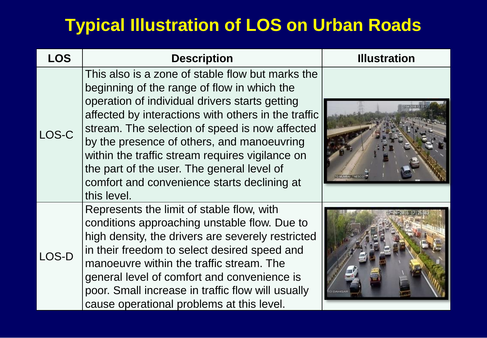#### **Typical Illustration of LOS on Urban Roads**

| <b>LOS</b> | <b>Description</b>                                                                                                                                                                                                                                                                                                                                                                                                                                                      | <b>Illustration</b> |
|------------|-------------------------------------------------------------------------------------------------------------------------------------------------------------------------------------------------------------------------------------------------------------------------------------------------------------------------------------------------------------------------------------------------------------------------------------------------------------------------|---------------------|
| LOS-C      | This also is a zone of stable flow but marks the<br>beginning of the range of flow in which the<br>operation of individual drivers starts getting<br>affected by interactions with others in the traffic<br>stream. The selection of speed is now affected<br>by the presence of others, and manoeuvring<br>within the traffic stream requires vigilance on<br>the part of the user. The general level of<br>comfort and convenience starts declining at<br>this level. |                     |
| LOS-D      | Represents the limit of stable flow, with<br>conditions approaching unstable flow. Due to<br>high density, the drivers are severely restricted<br>in their freedom to select desired speed and<br>manoeuvre within the traffic stream. The<br>general level of comfort and convenience is<br>poor. Small increase in traffic flow will usually<br>cause operational problems at this level.                                                                             |                     |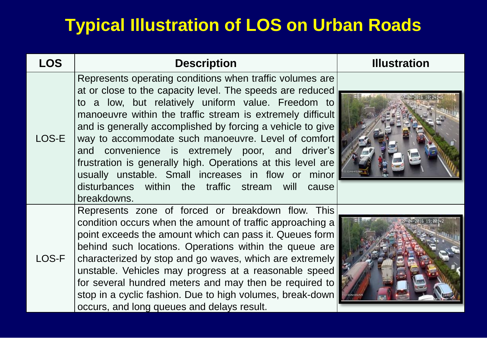#### **Typical Illustration of LOS on Urban Roads**

| <b>LOS</b> | <b>Description</b>                                                                                                                                                                                                                                                                                                                                                                                                                                                                                                                                                                                            | <b>Illustration</b> |
|------------|---------------------------------------------------------------------------------------------------------------------------------------------------------------------------------------------------------------------------------------------------------------------------------------------------------------------------------------------------------------------------------------------------------------------------------------------------------------------------------------------------------------------------------------------------------------------------------------------------------------|---------------------|
| LOS-E      | Represents operating conditions when traffic volumes are<br>at or close to the capacity level. The speeds are reduced<br>to a low, but relatively uniform value. Freedom to<br>manoeuvre within the traffic stream is extremely difficult<br>and is generally accomplished by forcing a vehicle to give<br>way to accommodate such manoeuvre. Level of comfort<br>and convenience is extremely poor, and driver's<br>frustration is generally high. Operations at this level are<br>usually unstable. Small increases in flow or minor<br>disturbances within the traffic stream will<br>cause<br>breakdowns. |                     |
| LOS-F      | Represents zone of forced or breakdown flow. This<br>condition occurs when the amount of traffic approaching a<br>point exceeds the amount which can pass it. Queues form<br>behind such locations. Operations within the queue are<br>characterized by stop and go waves, which are extremely<br>unstable. Vehicles may progress at a reasonable speed<br>for several hundred meters and may then be required to<br>stop in a cyclic fashion. Due to high volumes, break-down<br>occurs, and long queues and delays result.                                                                                  |                     |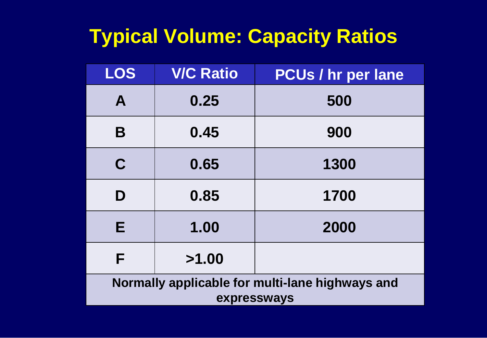# **Typical Volume: Capacity Ratios**

| <b>LOS</b>                                                     | <b>V/C Ratio</b> | <b>PCUs / hr per lane</b> |
|----------------------------------------------------------------|------------------|---------------------------|
| A                                                              | 0.25             | 500                       |
| B                                                              | 0.45             | 900                       |
| $\mathbf C$                                                    | 0.65             | 1300                      |
| D                                                              | 0.85             | 1700                      |
| Е                                                              | 1.00             | 2000                      |
| F                                                              | >1.00            |                           |
| Normally applicable for multi-lane highways and<br>expressways |                  |                           |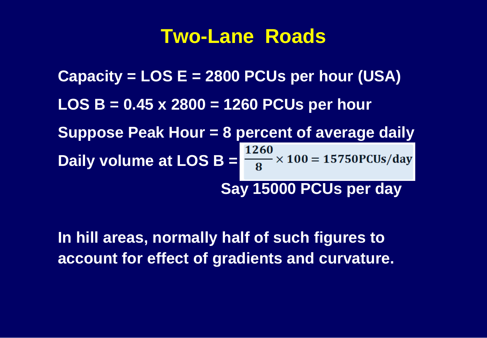#### **Two-Lane Roads**

**Capacity = LOS E = 2800 PCUs per hour (USA) LOS B = 0.45 x 2800 = 1260 PCUs per hour Suppose Peak Hour = 8 percent of average daily Daily volume at LOS B =**  $\frac{1260}{8} \times 100 = 15750$  **PCUs/day Say 15000 PCUs per day**

**In hill areas, normally half of such figures to account for effect of gradients and curvature.**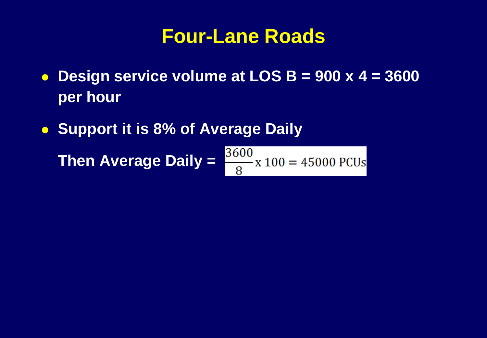#### **Four-Lane Roads**

- **Design service volume at LOS B = 900 x 4 = 3600 per hour**
- **Support it is 8% of Average Daily**

**Then Average Daily =**  $\frac{3600}{8}$  **x 100 = 45000 PCUs**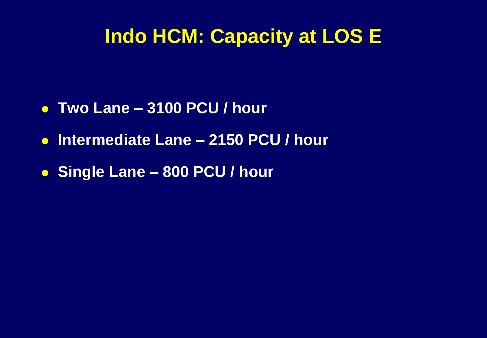### **Indo HCM: Capacity at LOS E**

- **Two Lane – 3100 PCU / hour**
- **Intermediate Lane – 2150 PCU / hour**
- **Single Lane – 800 PCU / hour**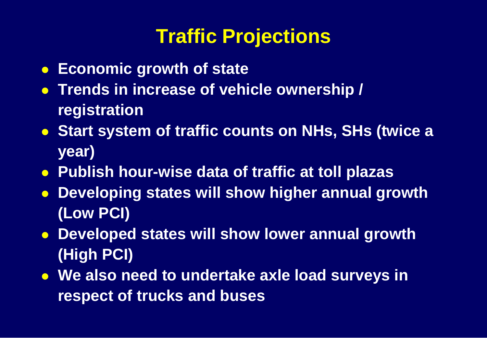# **Traffic Projections**

- **Economic growth of state**
- **Trends in increase of vehicle ownership / registration**
- **Start system of traffic counts on NHs, SHs (twice a year)**
- **Publish hour-wise data of traffic at toll plazas**
- **Developing states will show higher annual growth (Low PCI)**
- **Developed states will show lower annual growth (High PCI)**
- **We also need to undertake axle load surveys in respect of trucks and buses**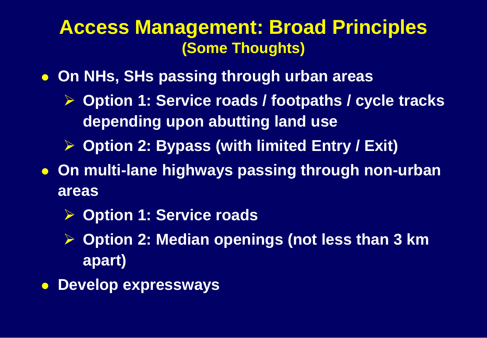#### **Access Management: Broad Principles (Some Thoughts)**

- **On NHs, SHs passing through urban areas**
	- **Option 1: Service roads / footpaths / cycle tracks depending upon abutting land use**
	- **Option 2: Bypass (with limited Entry / Exit)**
- **On multi-lane highways passing through non-urban areas**
	- **Option 1: Service roads**
	- **Option 2: Median openings (not less than 3 km apart)**
- **Develop expressways**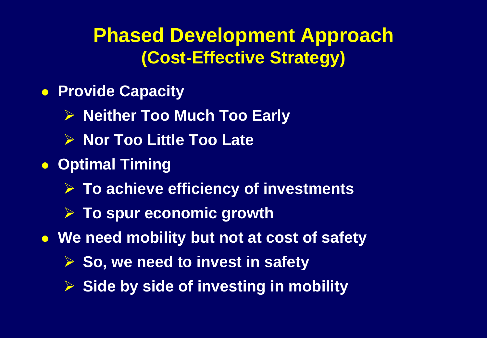### **Phased Development Approach (Cost-Effective Strategy)**

- **Provide Capacity** 
	- **Neither Too Much Too Early**
	- **▶ Nor Too Little Too Late**
- **Optimal Timing** 
	- **To achieve efficiency of investments**
	- **Example 5 To spur economic growth**
- **We need mobility but not at cost of safety**
	- **► So, we need to invest in safety**
	- **Side by side of investing in mobility**